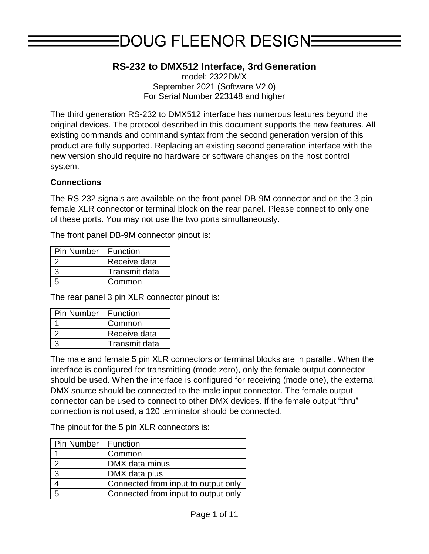# EDOUG FLEENOR DESIGNE

# **RS-232 to DMX512 Interface, 3rd Generation**

model: 2322DMX September 2021 (Software V2.0) For Serial Number 223148 and higher

The third generation RS-232 to DMX512 interface has numerous features beyond the original devices. The protocol described in this document supports the new features. All existing commands and command syntax from the second generation version of this product are fully supported. Replacing an existing second generation interface with the new version should require no hardware or software changes on the host control system.

#### **Connections**

The RS-232 signals are available on the front panel DB-9M connector and on the 3 pin female XLR connector or terminal block on the rear panel. Please connect to only one of these ports. You may not use the two ports simultaneously.

The front panel DB-9M connector pinout is:

| Pin Number   Function |               |
|-----------------------|---------------|
|                       | Receive data  |
|                       | Transmit data |
|                       | Common        |

The rear panel 3 pin XLR connector pinout is:

| <b>Pin Number</b> | Function      |
|-------------------|---------------|
|                   | Common        |
|                   | Receive data  |
|                   | Transmit data |

The male and female 5 pin XLR connectors or terminal blocks are in parallel. When the interface is configured for transmitting (mode zero), only the female output connector should be used. When the interface is configured for receiving (mode one), the external DMX source should be connected to the male input connector. The female output connector can be used to connect to other DMX devices. If the female output "thru" connection is not used, a 120 terminator should be connected.

The pinout for the 5 pin XLR connectors is:

| Pin Number   Function |                                     |
|-----------------------|-------------------------------------|
|                       | Common                              |
|                       | DMX data minus                      |
| 3                     | DMX data plus                       |
|                       | Connected from input to output only |
| 5                     | Connected from input to output only |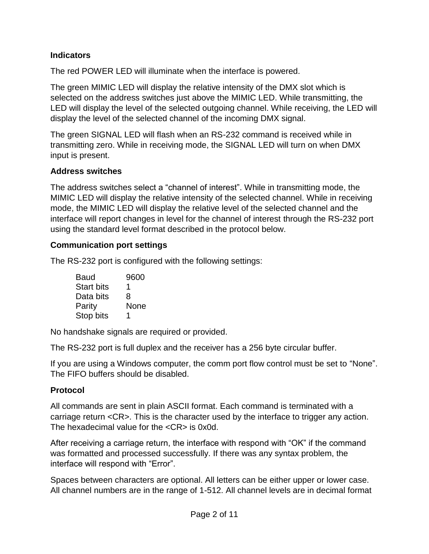## **Indicators**

The red POWER LED will illuminate when the interface is powered.

The green MIMIC LED will display the relative intensity of the DMX slot which is selected on the address switches just above the MIMIC LED. While transmitting, the LED will display the level of the selected outgoing channel. While receiving, the LED will display the level of the selected channel of the incoming DMX signal.

The green SIGNAL LED will flash when an RS-232 command is received while in transmitting zero. While in receiving mode, the SIGNAL LED will turn on when DMX input is present.

## **Address switches**

The address switches select a "channel of interest". While in transmitting mode, the MIMIC LED will display the relative intensity of the selected channel. While in receiving mode, the MIMIC LED will display the relative level of the selected channel and the interface will report changes in level for the channel of interest through the RS-232 port using the standard level format described in the protocol below.

## **Communication port settings**

The RS-232 port is configured with the following settings:

| Baud              | 9600 |
|-------------------|------|
| <b>Start bits</b> | 1    |
| Data bits         | 8    |
| Parity            | None |
| Stop bits         | 1    |

No handshake signals are required or provided.

The RS-232 port is full duplex and the receiver has a 256 byte circular buffer.

If you are using a Windows computer, the comm port flow control must be set to "None". The FIFO buffers should be disabled.

## **Protocol**

All commands are sent in plain ASCII format. Each command is terminated with a carriage return <CR>. This is the character used by the interface to trigger any action. The hexadecimal value for the <CR> is 0x0d.

After receiving a carriage return, the interface with respond with "OK" if the command was formatted and processed successfully. If there was any syntax problem, the interface will respond with "Error".

Spaces between characters are optional. All letters can be either upper or lower case. All channel numbers are in the range of 1-512. All channel levels are in decimal format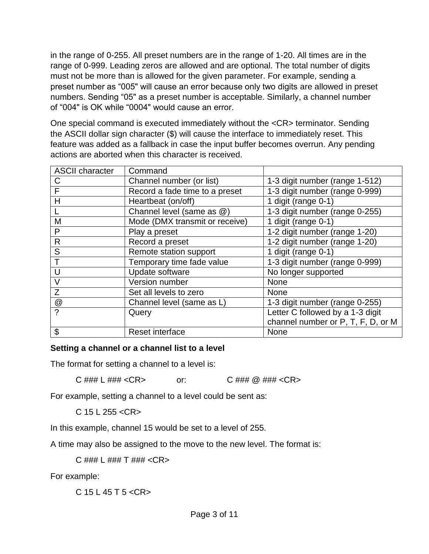in the range of 0-255. All preset numbers are in the range of 1-20. All times are in the range of 0-999. Leading zeros are allowed and are optional. The total number of digits must not be more than is allowed for the given parameter. For example, sending a preset number as "005" will cause an error because only two digits are allowed in preset numbers. Sending "05" as a preset number is acceptable. Similarly, a channel number of "004" is OK while "0004" would cause an error.

One special command is executed immediately without the <CR> terminator. Sending the ASCII dollar sign character (\$) will cause the interface to immediately reset. This feature was added as a fallback in case the input buffer becomes overrun. Any pending actions are aborted when this character is received.

| <b>ASCII character</b> | Command                        |                                    |
|------------------------|--------------------------------|------------------------------------|
| C                      | Channel number (or list)       | 1-3 digit number (range 1-512)     |
| F                      | Record a fade time to a preset | 1-3 digit number (range 0-999)     |
| Η                      | Heartbeat (on/off)             | 1 digit (range 0-1)                |
|                        | Channel level (same as @)      | 1-3 digit number (range 0-255)     |
| M                      | Mode (DMX transmit or receive) | 1 digit (range 0-1)                |
| P                      | Play a preset                  | 1-2 digit number (range 1-20)      |
| $\mathsf{R}$           | Record a preset                | 1-2 digit number (range 1-20)      |
| S                      | Remote station support         | 1 digit (range 0-1)                |
|                        | Temporary time fade value      | 1-3 digit number (range 0-999)     |
| U                      | Update software                | No longer supported                |
| $\vee$                 | Version number                 | None                               |
| Z                      | Set all levels to zero         | <b>None</b>                        |
| $^{\circledR}$         | Channel level (same as L)      | 1-3 digit number (range 0-255)     |
| ?                      | Query                          | Letter C followed by a 1-3 digit   |
|                        |                                | channel number or P, T, F, D, or M |
| \$                     | Reset interface                | None                               |

#### **Setting a channel or a channel list to a level**

The format for setting a channel to a level is:

C ### L ### <CR> or: C ### @ ### <CR>

For example, setting a channel to a level could be sent as:

 $C$  15 L 255 < $CR$ >

In this example, channel 15 would be set to a level of 255.

A time may also be assigned to the move to the new level. The format is:

C ### L ### T ### <CR>

For example:

 $C$  15 L 45 T 5 < $CR$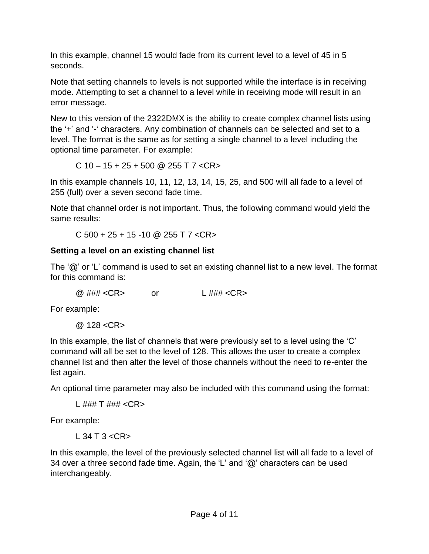In this example, channel 15 would fade from its current level to a level of 45 in 5 seconds.

Note that setting channels to levels is not supported while the interface is in receiving mode. Attempting to set a channel to a level while in receiving mode will result in an error message.

New to this version of the 2322DMX is the ability to create complex channel lists using the '+' and '-' characters. Any combination of channels can be selected and set to a level. The format is the same as for setting a single channel to a level including the optional time parameter. For example:

C  $10 - 15 + 25 + 500$  @  $255$  T  $7$  <CR>

In this example channels 10, 11, 12, 13, 14, 15, 25, and 500 will all fade to a level of 255 (full) over a seven second fade time.

Note that channel order is not important. Thus, the following command would yield the same results:

 $C$  500 + 25 + 15 -10 @ 255 T 7 <CR>

## **Setting a level on an existing channel list**

The '@' or 'L' command is used to set an existing channel list to a new level. The format for this command is:

@ ### <CR> or L ### <CR>

For example:

 $@.128 < CR$ 

In this example, the list of channels that were previously set to a level using the 'C' command will all be set to the level of 128. This allows the user to create a complex channel list and then alter the level of those channels without the need to re-enter the list again.

An optional time parameter may also be included with this command using the format:

```
L ### T ### <CR>
```
For example:

 $1.34$  T  $3 <$  CR  $>$ 

In this example, the level of the previously selected channel list will all fade to a level of 34 over a three second fade time. Again, the 'L' and '@' characters can be used interchangeably.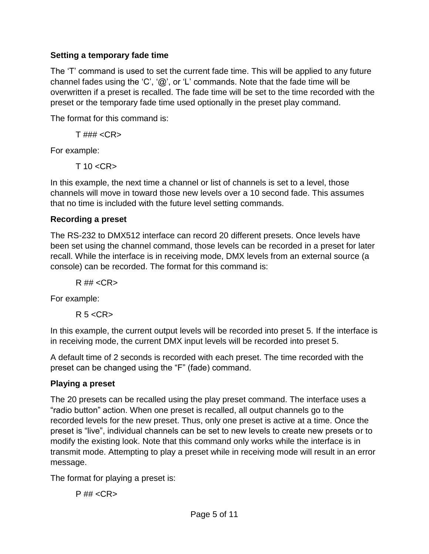## **Setting a temporary fade time**

The 'T' command is used to set the current fade time. This will be applied to any future channel fades using the 'C', ' $@'$ , or 'L' commands. Note that the fade time will be overwritten if a preset is recalled. The fade time will be set to the time recorded with the preset or the temporary fade time used optionally in the preset play command.

The format for this command is:

 $T$ ### <CR>

For example:

 $T$  10  $<$ CR $>$ 

In this example, the next time a channel or list of channels is set to a level, those channels will move in toward those new levels over a 10 second fade. This assumes that no time is included with the future level setting commands.

## **Recording a preset**

The RS-232 to DMX512 interface can record 20 different presets. Once levels have been set using the channel command, those levels can be recorded in a preset for later recall. While the interface is in receiving mode, DMX levels from an external source (a console) can be recorded. The format for this command is:

 $R$ ## < $CR$ >

For example:

 $R$  5  $<$   $CR$   $>$ 

In this example, the current output levels will be recorded into preset 5. If the interface is in receiving mode, the current DMX input levels will be recorded into preset 5.

A default time of 2 seconds is recorded with each preset. The time recorded with the preset can be changed using the "F" (fade) command.

## **Playing a preset**

The 20 presets can be recalled using the play preset command. The interface uses a "radio button" action. When one preset is recalled, all output channels go to the recorded levels for the new preset. Thus, only one preset is active at a time. Once the preset is "live", individual channels can be set to new levels to create new presets or to modify the existing look. Note that this command only works while the interface is in transmit mode. Attempting to play a preset while in receiving mode will result in an error message.

The format for playing a preset is:

 $P$ ## <CR>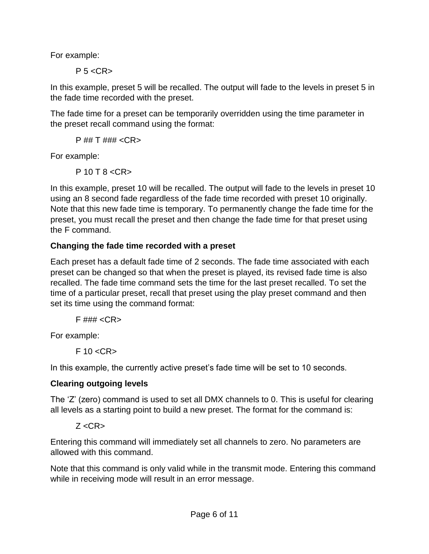For example:

 $P 5 < CR$ 

In this example, preset 5 will be recalled. The output will fade to the levels in preset 5 in the fade time recorded with the preset.

The fade time for a preset can be temporarily overridden using the time parameter in the preset recall command using the format:

P ## T ### <CR>

For example:

P 10 T 8 <CR>

In this example, preset 10 will be recalled. The output will fade to the levels in preset 10 using an 8 second fade regardless of the fade time recorded with preset 10 originally. Note that this new fade time is temporary. To permanently change the fade time for the preset, you must recall the preset and then change the fade time for that preset using the F command.

## **Changing the fade time recorded with a preset**

Each preset has a default fade time of 2 seconds. The fade time associated with each preset can be changed so that when the preset is played, its revised fade time is also recalled. The fade time command sets the time for the last preset recalled. To set the time of a particular preset, recall that preset using the play preset command and then set its time using the command format:

 $F$ ### <CR>

For example:

 $F$  10  $<$ CR $>$ 

In this example, the currently active preset's fade time will be set to 10 seconds.

## **Clearing outgoing levels**

The 'Z' (zero) command is used to set all DMX channels to 0. This is useful for clearing all levels as a starting point to build a new preset. The format for the command is:

 $Z < CR$ 

Entering this command will immediately set all channels to zero. No parameters are allowed with this command.

Note that this command is only valid while in the transmit mode. Entering this command while in receiving mode will result in an error message.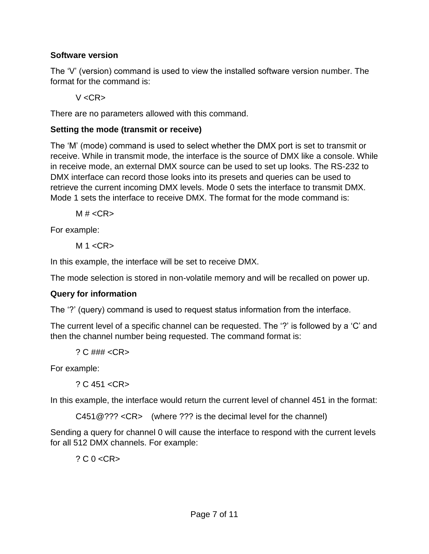## **Software version**

The 'V' (version) command is used to view the installed software version number. The format for the command is:

V <CR>

There are no parameters allowed with this command.

## **Setting the mode (transmit or receive)**

The 'M' (mode) command is used to select whether the DMX port is set to transmit or receive. While in transmit mode, the interface is the source of DMX like a console. While in receive mode, an external DMX source can be used to set up looks. The RS-232 to DMX interface can record those looks into its presets and queries can be used to retrieve the current incoming DMX levels. Mode 0 sets the interface to transmit DMX. Mode 1 sets the interface to receive DMX. The format for the mode command is:

 $M \# <$ CR $>$ 

For example:

 $M 1 < CR$ 

In this example, the interface will be set to receive DMX.

The mode selection is stored in non-volatile memory and will be recalled on power up.

## **Query for information**

The '?' (query) command is used to request status information from the interface.

The current level of a specific channel can be requested. The '?' is followed by a 'C' and then the channel number being requested. The command format is:

? C ### <CR>

For example:

? C 451 <CR>

In this example, the interface would return the current level of channel 451 in the format:

C451@??? <CR> (where ??? is the decimal level for the channel)

Sending a query for channel 0 will cause the interface to respond with the current levels for all 512 DMX channels. For example:

 $?$  C  $0$  <CR>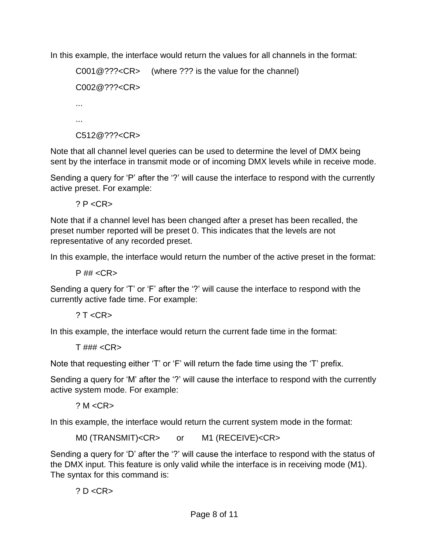In this example, the interface would return the values for all channels in the format:

```
C001@???<CR> (where ??? is the value for the channel)
C002@???<CR>
...
...
C512@???<CR>
```
Note that all channel level queries can be used to determine the level of DMX being sent by the interface in transmit mode or of incoming DMX levels while in receive mode.

Sending a query for 'P' after the '?' will cause the interface to respond with the currently active preset. For example:

? P <CR>

Note that if a channel level has been changed after a preset has been recalled, the preset number reported will be preset 0. This indicates that the levels are not representative of any recorded preset.

In this example, the interface would return the number of the active preset in the format:

 $P$ ## <CR>

Sending a query for 'T' or 'F' after the '?' will cause the interface to respond with the currently active fade time. For example:

 $? T < CR$ 

In this example, the interface would return the current fade time in the format:

 $T$ ### <CR>

Note that requesting either 'T' or 'F' will return the fade time using the 'T' prefix.

Sending a query for 'M' after the '?' will cause the interface to respond with the currently active system mode. For example:

 $? M < C$ R $>$ 

In this example, the interface would return the current system mode in the format:

```
M0 (TRANSMIT)<CR> or M1 (RECEIVE)<CR>
```
Sending a query for 'D' after the '?' will cause the interface to respond with the status of the DMX input. This feature is only valid while the interface is in receiving mode (M1). The syntax for this command is:

 $? D < CR$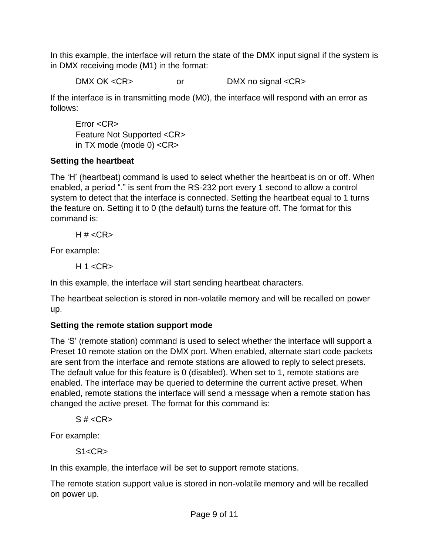In this example, the interface will return the state of the DMX input signal if the system is in DMX receiving mode (M1) in the format:

DMX OK <CR> or DMX no signal <CR>

If the interface is in transmitting mode (M0), the interface will respond with an error as follows:

Error <CR> Feature Not Supported <CR> in TX mode (mode 0) <CR>

# **Setting the heartbeat**

The 'H' (heartbeat) command is used to select whether the heartbeat is on or off. When enabled, a period "." is sent from the RS-232 port every 1 second to allow a control system to detect that the interface is connected. Setting the heartbeat equal to 1 turns the feature on. Setting it to 0 (the default) turns the feature off. The format for this command is:

H  $# <$ CR $>$ 

For example:

 $H$  1 <CR>

In this example, the interface will start sending heartbeat characters.

The heartbeat selection is stored in non-volatile memory and will be recalled on power up.

# **Setting the remote station support mode**

The 'S' (remote station) command is used to select whether the interface will support a Preset 10 remote station on the DMX port. When enabled, alternate start code packets are sent from the interface and remote stations are allowed to reply to select presets. The default value for this feature is 0 (disabled). When set to 1, remote stations are enabled. The interface may be queried to determine the current active preset. When enabled, remote stations the interface will send a message when a remote station has changed the active preset. The format for this command is:

 $S \# < C$ R $>$ 

For example:

 $S1 < CR$ 

In this example, the interface will be set to support remote stations.

The remote station support value is stored in non-volatile memory and will be recalled on power up.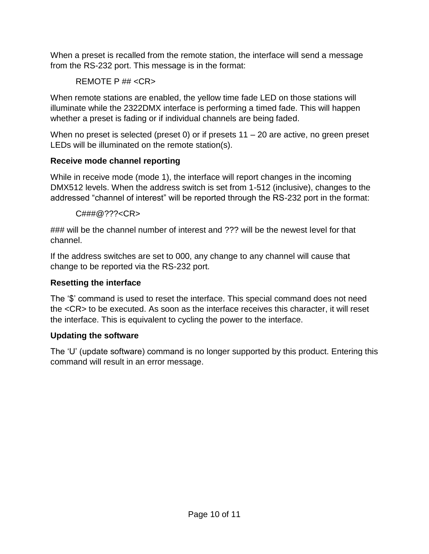When a preset is recalled from the remote station, the interface will send a message from the RS-232 port. This message is in the format:

REMOTE P ## <CR>

When remote stations are enabled, the yellow time fade LED on those stations will illuminate while the 2322DMX interface is performing a timed fade. This will happen whether a preset is fading or if individual channels are being faded.

When no preset is selected (preset 0) or if presets  $11 - 20$  are active, no green preset LEDs will be illuminated on the remote station(s).

# **Receive mode channel reporting**

While in receive mode (mode 1), the interface will report changes in the incoming DMX512 levels. When the address switch is set from 1-512 (inclusive), changes to the addressed "channel of interest" will be reported through the RS-232 port in the format:

 $C### @ ??? < CR$ 

### will be the channel number of interest and ??? will be the newest level for that channel.

If the address switches are set to 000, any change to any channel will cause that change to be reported via the RS-232 port.

# **Resetting the interface**

The '\$' command is used to reset the interface. This special command does not need the <CR> to be executed. As soon as the interface receives this character, it will reset the interface. This is equivalent to cycling the power to the interface.

# **Updating the software**

The 'U' (update software) command is no longer supported by this product. Entering this command will result in an error message.